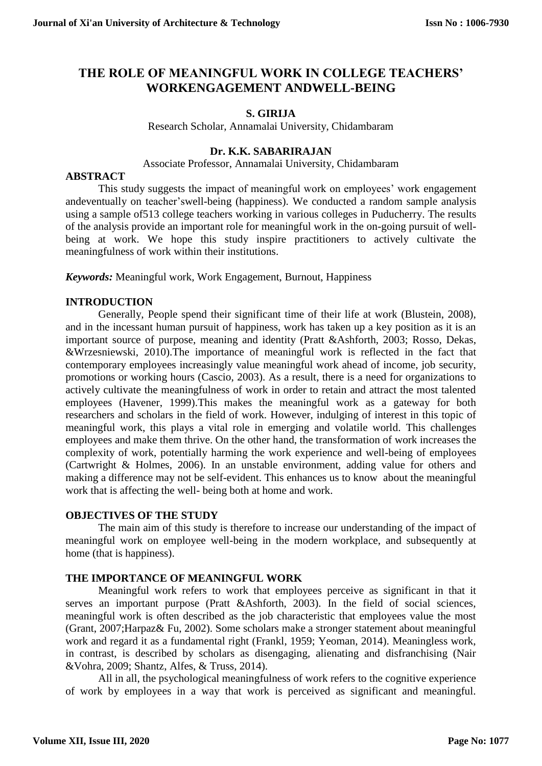# **THE ROLE OF MEANINGFUL WORK IN COLLEGE TEACHERS' WORKENGAGEMENT ANDWELL-BEING**

### **S. GIRIJA**

Research Scholar, Annamalai University, Chidambaram

#### **Dr. K.K. SABARIRAJAN**

Associate Professor, Annamalai University, Chidambaram

#### **ABSTRACT**

This study suggests the impact of meaningful work on employees' work engagement andeventually on teacher'swell-being (happiness). We conducted a random sample analysis using a sample of513 college teachers working in various colleges in Puducherry. The results of the analysis provide an important role for meaningful work in the on-going pursuit of wellbeing at work. We hope this study inspire practitioners to actively cultivate the meaningfulness of work within their institutions.

*Keywords:* Meaningful work, Work Engagement, Burnout, Happiness

### **INTRODUCTION**

Generally, People spend their significant time of their life at work (Blustein, 2008), and in the incessant human pursuit of happiness, work has taken up a key position as it is an important source of purpose, meaning and identity (Pratt &Ashforth, 2003; Rosso, Dekas, &Wrzesniewski, 2010).The importance of meaningful work is reflected in the fact that contemporary employees increasingly value meaningful work ahead of income, job security, promotions or working hours (Cascio, 2003). As a result, there is a need for organizations to actively cultivate the meaningfulness of work in order to retain and attract the most talented employees (Havener, 1999).This makes the meaningful work as a gateway for both researchers and scholars in the field of work. However, indulging of interest in this topic of meaningful work, this plays a vital role in emerging and volatile world. This challenges employees and make them thrive. On the other hand, the transformation of work increases the complexity of work, potentially harming the work experience and well-being of employees (Cartwright & Holmes, 2006). In an unstable environment, adding value for others and making a difference may not be self-evident. This enhances us to know about the meaningful work that is affecting the well- being both at home and work.

### **OBJECTIVES OF THE STUDY**

The main aim of this study is therefore to increase our understanding of the impact of meaningful work on employee well-being in the modern workplace, and subsequently at home (that is happiness).

#### **THE IMPORTANCE OF MEANINGFUL WORK**

Meaningful work refers to work that employees perceive as significant in that it serves an important purpose (Pratt &Ashforth, 2003). In the field of social sciences, meaningful work is often described as the job characteristic that employees value the most (Grant, 2007;Harpaz& Fu, 2002). Some scholars make a stronger statement about meaningful work and regard it as a fundamental right (Frankl, 1959; Yeoman, 2014). Meaningless work, in contrast, is described by scholars as disengaging, alienating and disfranchising (Nair &Vohra, 2009; Shantz, Alfes, & Truss, 2014).

All in all, the psychological meaningfulness of work refers to the cognitive experience of work by employees in a way that work is perceived as significant and meaningful.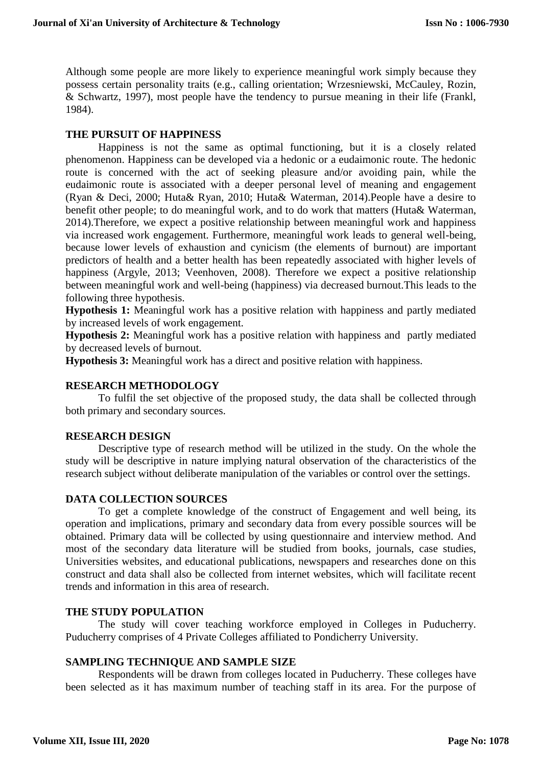Although some people are more likely to experience meaningful work simply because they possess certain personality traits (e.g., calling orientation; Wrzesniewski, McCauley, Rozin, & Schwartz, 1997), most people have the tendency to pursue meaning in their life (Frankl, 1984).

### **THE PURSUIT OF HAPPINESS**

Happiness is not the same as optimal functioning, but it is a closely related phenomenon. Happiness can be developed via a hedonic or a eudaimonic route. The hedonic route is concerned with the act of seeking pleasure and/or avoiding pain, while the eudaimonic route is associated with a deeper personal level of meaning and engagement (Ryan & Deci, 2000; Huta& Ryan, 2010; Huta& Waterman, 2014).People have a desire to benefit other people; to do meaningful work, and to do work that matters (Huta& Waterman, 2014).Therefore, we expect a positive relationship between meaningful work and happiness via increased work engagement. Furthermore, meaningful work leads to general well-being, because lower levels of exhaustion and cynicism (the elements of burnout) are important predictors of health and a better health has been repeatedly associated with higher levels of happiness (Argyle, 2013; Veenhoven, 2008). Therefore we expect a positive relationship between meaningful work and well-being (happiness) via decreased burnout.This leads to the following three hypothesis.

**Hypothesis 1:** Meaningful work has a positive relation with happiness and partly mediated by increased levels of work engagement.

**Hypothesis 2:** Meaningful work has a positive relation with happiness and partly mediated by decreased levels of burnout.

**Hypothesis 3:** Meaningful work has a direct and positive relation with happiness.

## **RESEARCH METHODOLOGY**

To fulfil the set objective of the proposed study, the data shall be collected through both primary and secondary sources.

### **RESEARCH DESIGN**

Descriptive type of research method will be utilized in the study. On the whole the study will be descriptive in nature implying natural observation of the characteristics of the research subject without deliberate manipulation of the variables or control over the settings.

### **DATA COLLECTION SOURCES**

To get a complete knowledge of the construct of Engagement and well being, its operation and implications, primary and secondary data from every possible sources will be obtained. Primary data will be collected by using questionnaire and interview method. And most of the secondary data literature will be studied from books, journals, case studies, Universities websites, and educational publications, newspapers and researches done on this construct and data shall also be collected from internet websites, which will facilitate recent trends and information in this area of research.

### **THE STUDY POPULATION**

The study will cover teaching workforce employed in Colleges in Puducherry. Puducherry comprises of 4 Private Colleges affiliated to Pondicherry University.

### **SAMPLING TECHNIQUE AND SAMPLE SIZE**

Respondents will be drawn from colleges located in Puducherry. These colleges have been selected as it has maximum number of teaching staff in its area. For the purpose of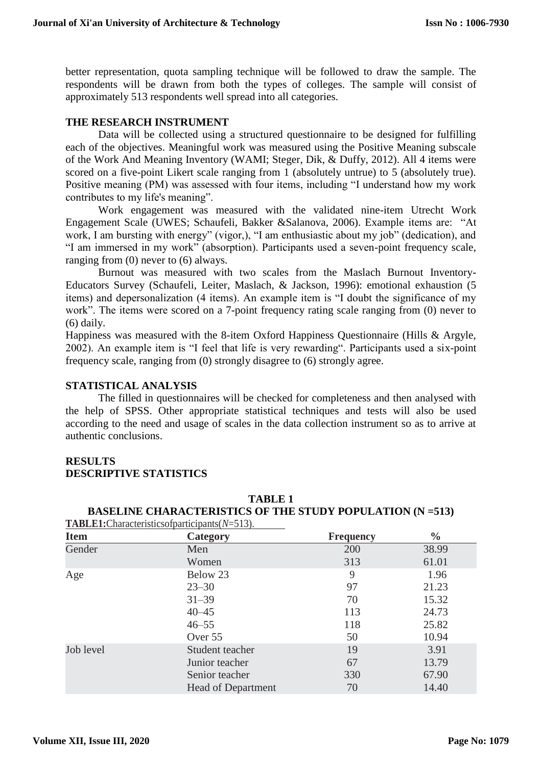better representation, quota sampling technique will be followed to draw the sample. The respondents will be drawn from both the types of colleges. The sample will consist of approximately 513 respondents well spread into all categories.

## **THE RESEARCH INSTRUMENT**

Data will be collected using a structured questionnaire to be designed for fulfilling each of the objectives. Meaningful work was measured using the Positive Meaning subscale of the Work And Meaning Inventory (WAMI; Steger, Dik, & Duffy, 2012). All 4 items were scored on a five-point Likert scale ranging from 1 (absolutely untrue) to 5 (absolutely true). Positive meaning (PM) was assessed with four items, including "I understand how my work contributes to my life's meaning".

Work engagement was measured with the validated nine-item Utrecht Work Engagement Scale (UWES; Schaufeli, Bakker &Salanova, 2006). Example items are: "At work, I am bursting with energy" (vigor,), "I am enthusiastic about my job" (dedication), and "I am immersed in my work" (absorption). Participants used a seven-point frequency scale, ranging from (0) never to (6) always.

Burnout was measured with two scales from the Maslach Burnout Inventory-Educators Survey (Schaufeli, Leiter, Maslach, & Jackson, 1996): emotional exhaustion (5 items) and depersonalization (4 items). An example item is "I doubt the significance of my work". The items were scored on a 7-point frequency rating scale ranging from (0) never to (6) daily.

Happiness was measured with the 8-item Oxford Happiness Questionnaire (Hills & Argyle, 2002). An example item is "I feel that life is very rewarding". Participants used a six-point frequency scale, ranging from (0) strongly disagree to (6) strongly agree.

#### **STATISTICAL ANALYSIS**

The filled in questionnaires will be checked for completeness and then analysed with the help of SPSS. Other appropriate statistical techniques and tests will also be used according to the need and usage of scales in the data collection instrument so as to arrive at authentic conclusions.

### **RESULTS DESCRIPTIVE STATISTICS**

|                         | $P_{\rm H}$<br><b>TABLE1:</b> Characteristicsofparticipants $(N=513)$ . |                  |               |  |
|-------------------------|-------------------------------------------------------------------------|------------------|---------------|--|
| <b>Item</b><br>Category |                                                                         | <b>Frequency</b> | $\frac{6}{9}$ |  |
| Gender                  | Men                                                                     | 200              | 38.99         |  |
|                         | Women                                                                   | 313              | 61.01         |  |
| Age                     | Below 23                                                                | 9                | 1.96          |  |
|                         | $23 - 30$                                                               | 97               | 21.23         |  |
|                         | $31 - 39$                                                               | 70               | 15.32         |  |
|                         | $40 - 45$                                                               | 113              | 24.73         |  |
|                         | $46 - 55$                                                               | 118              | 25.82         |  |
|                         | Over 55                                                                 | 50               | 10.94         |  |
| Job level               | Student teacher                                                         | 19               | 3.91          |  |
|                         | Junior teacher                                                          | 67               | 13.79         |  |
|                         | Senior teacher                                                          | 330              | 67.90         |  |
|                         | <b>Head of Department</b>                                               | 70               | 14.40         |  |

**TABLE 1 BASELINE CHARACTERISTICS OF THE STUDY POPULATION (N =513)**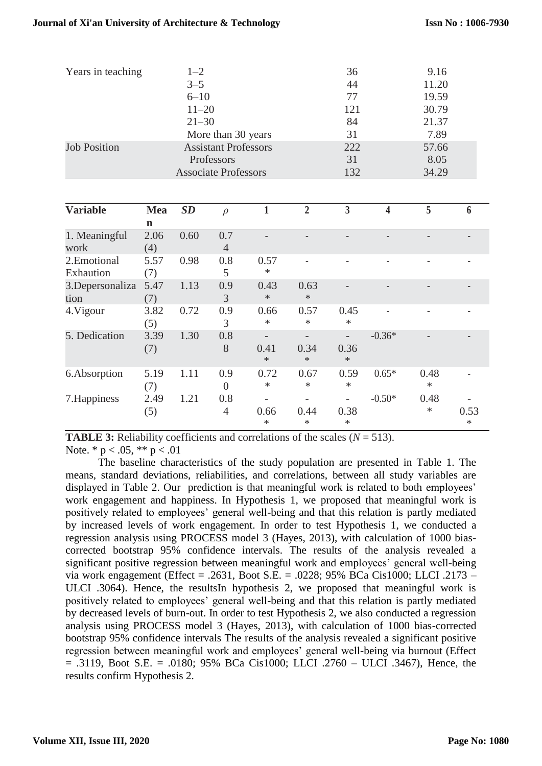| Years in teaching   | $1 - 2$                     | 36  | 9.16  |
|---------------------|-----------------------------|-----|-------|
|                     | $3 - 5$                     | 44  | 11.20 |
|                     | $6 - 10$                    | 77  | 19.59 |
|                     | $11 - 20$                   | 121 | 30.79 |
|                     | $21 - 30$                   | 84  | 21.37 |
|                     | More than 30 years          | 31  | 7.89  |
| <b>Job Position</b> | <b>Assistant Professors</b> | 222 | 57.66 |
|                     | Professors                  | 31  | 8.05  |
|                     | <b>Associate Professors</b> | 132 | 34.29 |

| <b>Variable</b>           | Mea         | SD   | $\rho$                |                | $\overline{2}$           | 3              | 4              | 5              | 6         |
|---------------------------|-------------|------|-----------------------|----------------|--------------------------|----------------|----------------|----------------|-----------|
|                           | n           |      |                       |                |                          |                |                |                |           |
| 1. Meaningful<br>work     | 2.06<br>(4) | 0.60 | 0.7<br>$\overline{4}$ |                |                          |                |                |                |           |
| 2. Emotional<br>Exhaution | 5.57<br>(7) | 0.98 | 0.8<br>5              | 0.57<br>$\ast$ | $\overline{\phantom{0}}$ |                | $\overline{a}$ |                |           |
| 3. Depersonaliza<br>tion  | 5.47<br>(7) | 1.13 | 0.9<br>3              | 0.43<br>$\ast$ | 0.63<br>$\ast$           |                |                |                |           |
| 4. Vigour                 | 3.82<br>(5) | 0.72 | 0.9<br>3              | 0.66<br>$\ast$ | 0.57<br>$\ast$           | 0.45<br>$\ast$ |                |                |           |
| 5. Dedication             | 3.39<br>(7) | 1.30 | 0.8<br>8              | 0.41<br>$\ast$ | 0.34<br>$\ast$           | 0.36<br>$\ast$ | $-0.36*$       |                |           |
| 6.Absorption              | 5.19<br>(7) | 1.11 | 0.9<br>$\theta$       | 0.72<br>$\ast$ | 0.67<br>$\ast$           | 0.59<br>$\ast$ | $0.65*$        | 0.48<br>$\ast$ |           |
| 7. Happiness              | 2.49<br>(5) | 1.21 | 0.8<br>4              | 0.66<br>∗      | 0.44<br>*                | 0.38<br>∗      | $-0.50*$       | 0.48<br>∗      | 0.53<br>* |

|                                  | <b>TABLE 3:</b> Reliability coefficients and correlations of the scales $(N = 513)$ . |  |  |
|----------------------------------|---------------------------------------------------------------------------------------|--|--|
| Note. $* p < .05$ , $** p < .01$ |                                                                                       |  |  |

The baseline characteristics of the study population are presented in Table 1. The means, standard deviations, reliabilities, and correlations, between all study variables are displayed in Table 2. Our prediction is that meaningful work is related to both employees' work engagement and happiness. In Hypothesis 1, we proposed that meaningful work is positively related to employees' general well-being and that this relation is partly mediated by increased levels of work engagement. In order to test Hypothesis 1, we conducted a regression analysis using PROCESS model 3 (Hayes, 2013), with calculation of 1000 biascorrected bootstrap 95% confidence intervals. The results of the analysis revealed a significant positive regression between meaningful work and employees' general well-being via work engagement (Effect = .2631, Boot S.E. = .0228; 95% BCa Cis1000; LLCI .2173 – ULCI .3064). Hence, the resultsIn hypothesis 2, we proposed that meaningful work is positively related to employees' general well-being and that this relation is partly mediated by decreased levels of burn-out. In order to test Hypothesis 2, we also conducted a regression analysis using PROCESS model 3 (Hayes, 2013), with calculation of 1000 bias-corrected bootstrap 95% confidence intervals The results of the analysis revealed a significant positive regression between meaningful work and employees' general well-being via burnout (Effect  $= .3119$ , Boot S.E.  $= .0180$ ; 95% BCa Cis1000; LLCI .2760 – ULCI .3467), Hence, the results confirm Hypothesis 2.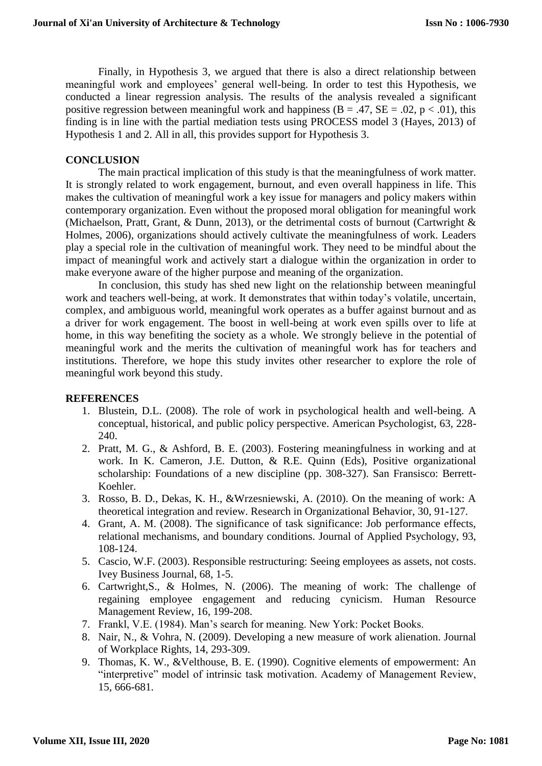Finally, in Hypothesis 3, we argued that there is also a direct relationship between meaningful work and employees' general well-being. In order to test this Hypothesis, we conducted a linear regression analysis. The results of the analysis revealed a significant positive regression between meaningful work and happiness ( $B = .47$ ,  $SE = .02$ ,  $p < .01$ ), this finding is in line with the partial mediation tests using PROCESS model 3 (Hayes, 2013) of Hypothesis 1 and 2. All in all, this provides support for Hypothesis 3.

### **CONCLUSION**

The main practical implication of this study is that the meaningfulness of work matter. It is strongly related to work engagement, burnout, and even overall happiness in life. This makes the cultivation of meaningful work a key issue for managers and policy makers within contemporary organization. Even without the proposed moral obligation for meaningful work (Michaelson, Pratt, Grant, & Dunn, 2013), or the detrimental costs of burnout (Cartwright & Holmes, 2006), organizations should actively cultivate the meaningfulness of work. Leaders play a special role in the cultivation of meaningful work. They need to be mindful about the impact of meaningful work and actively start a dialogue within the organization in order to make everyone aware of the higher purpose and meaning of the organization.

In conclusion, this study has shed new light on the relationship between meaningful work and teachers well-being, at work. It demonstrates that within today's volatile, uncertain, complex, and ambiguous world, meaningful work operates as a buffer against burnout and as a driver for work engagement. The boost in well-being at work even spills over to life at home, in this way benefiting the society as a whole. We strongly believe in the potential of meaningful work and the merits the cultivation of meaningful work has for teachers and institutions. Therefore, we hope this study invites other researcher to explore the role of meaningful work beyond this study.

### **REFERENCES**

- 1. Blustein, D.L. (2008). The role of work in psychological health and well-being. A conceptual, historical, and public policy perspective. American Psychologist, 63, 228- 240.
- 2. Pratt, M. G., & Ashford, B. E. (2003). Fostering meaningfulness in working and at work. In K. Cameron, J.E. Dutton, & R.E. Quinn (Eds), Positive organizational scholarship: Foundations of a new discipline (pp. 308-327). San Fransisco: Berrett-Koehler.
- 3. Rosso, B. D., Dekas, K. H., &Wrzesniewski, A. (2010). On the meaning of work: A theoretical integration and review. Research in Organizational Behavior, 30, 91-127.
- 4. Grant, A. M. (2008). The significance of task significance: Job performance effects, relational mechanisms, and boundary conditions. Journal of Applied Psychology, 93, 108-124.
- 5. Cascio, W.F. (2003). Responsible restructuring: Seeing employees as assets, not costs. Ivey Business Journal, 68, 1-5.
- 6. Cartwright,S., & Holmes, N. (2006). The meaning of work: The challenge of regaining employee engagement and reducing cynicism. Human Resource Management Review, 16, 199-208.
- 7. Frankl, V.E. (1984). Man's search for meaning. New York: Pocket Books.
- 8. Nair, N., & Vohra, N. (2009). Developing a new measure of work alienation. Journal of Workplace Rights, 14, 293-309.
- 9. Thomas, K. W., &Velthouse, B. E. (1990). Cognitive elements of empowerment: An "interpretive" model of intrinsic task motivation. Academy of Management Review, 15, 666-681.